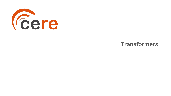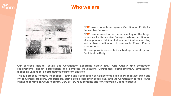

# *Cere*

#### **Who we are**



**CERE was originally set up as a Certification Entity for Renewable Energies.**

**CERE was created to be the access key on the target countries for Renewable Energies, where certification of components, full installations certificates, modeling and software validation of renewable Power Plants, were required.**

**The company is accredited as Testing Laboratory and Certification Body.**

**Our services include Testing and Certification according Safety, EMC, Grid Quality, grid connection requirements, design certification and complete installations Certificates, complementary simulations, modelling validation, electromagnetic transient analysis.**

**This full process includes Inspection, Testing and Certification of Components such as PV modules, Wind and PV converters, trackers, transformers, string boxes, combiner boxes, etc., and the Certification for full Power Plants according particular country, DSO or TSO requirements and / or According Client Requests**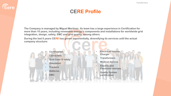# **Eere**

#### **CERE Profile**

**The Company is managed by Miguel Martínez. Its team has a large experience in Certification for more than 10 years, including renewable energy's components and installations for worldwide grid integration, design, safety, EMC and grid quality, among others.**

**During the last 6 years CERE has grown exponentially, diversifying its services until the actual company structure:**

- **Certification** • **Converters**
- **Grid Code & safety**
- **Simulation**
- **Trackers**
- **Batteries**
- **EMC**
- **Electrical Vehicle Charger**
- **Transformers**
- **Medical devices**
- **Electric and Electronic devices**
- **Quality System certification**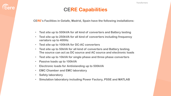

### **CERE Capabilities**

**CERE's Facilities in Getafe, Madrid, Spain have the following installations:**

- **Test site up to 500kVA for all kind of converters and Battery testing**
- **Test site up to 250kVA for all kind of converters including frequency variators up to 400Hz**
- **Test site up to 100kVA for DC-AC converters**
- **Test site up to 50kVA for all kind of converters and Battery testing. The source can act as DC source and AC source and electronic loads**
- **Test site up to 10kVA for single phase and three phase converters**
- **Passive loads up to 100kVA**
- **Electronic loads for Antiislanding up to 500kVA**
- **EMC Chamber and EMC laboratory**
- **Safety laboratory**
- **Simulation laboratory including Power Factory, PSSE and MATLAB**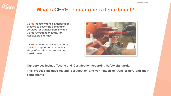

## **What's CERE Transformers department?**

**CERE Transformers is a department created to cover the demand of services for transformers inside of CERE (Certification Entity for Renewable Energies)**

**CERE Transformers was created to provide support and trust at any stage of certification and testing of transformers**



**Our services include Testing and Certification according Safety standards.**

**This process includes testing, certification and verification of transformers and their components.**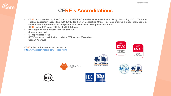#### **CERE's Accreditations**

- **CERE is accredited by ENAC and a2La (IAF/ILAC members) as Certification Body According ISO 17065 and Testing Laboratory according ISO 17025 for Power Generating Units. This fact ensures a deep knowledge in international requirements for components and Renewable Energies Power Plants.**
- **CERE is also CBTL and NCB for the IEC Scheme.**
- **MET approval for the North American market**
- **Sunspec approval**

*<u>Cere</u>* 

- **SII approval for Israel**
- **RETIE approved certification body for PV inverters (Colombia)**
- **Corean Approval**

**CERE's Accreditation can be checked in:** <http://www.cerecertification.com/accreditations>







**CERTIFICATE #5314.03** 





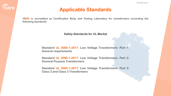

#### **Applicable Standards**

**CERE is accredited as Certification Body and Testing Laboratory for transformers according the following standards:**

**Safety Standards for UL Market** 

**Standard UL 5085-1:2017: Low Voltage Transformers- Part 1: General requirements**

**Standard UL 5085-1:2017: Low Voltage Transformers- Part 2: General Purpose Transformers**

**Standard UL 5085-1:2017: Low Voltage Transformers- Part 3: Class 2 and Class 3 Transformers**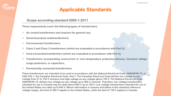### **Applicable Standards**

#### **Scope according standard 5085-1:2017**

**These requirements cover the following types of transformers:**

- ✓ **Air-cooled transformers and reactors for general use;**
- ✓ **General purpose autotransformers;**
- ✓ **Ferroresonant transformers;**
- ✓ **Class 2 and Class 3 transformers (which are evaluated in accordance with Part 3);**
- ✓ **Cord-connected transformers (which are evaluated in accordance with Part 2);**
- ✓ **Transformers incorporating overcurrent or over-temperature protective devices, transient voltage surge protectors, or capacitors;**
- ✓ **Permanently-connected transformers.**

**These transformers are intended to be used in accordance with the National Electrical Code, ANSI/NFPA 70, or CSA C22.1, the Canadian Electrical Code, Part I. The Canadian Electrical Code defines low voltage as any voltage from 31 to 750 V inclusive and high voltage as any voltage above 750 V. The National Electrical Code, ANSI/NFPA 70, defines low voltage as any voltage up to 600 V, nominal. Therefore, low voltage transformers intended for use in Canada may be rated above 600 V up to 750 V. Low voltage transformers intended for use in the United States are rated up to 600 V. Where information in clauses and tables in this standard reference voltage ranges, the limit of 600 V applies in the United States, while the limit of 750 V applies in Canada.**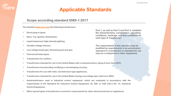#### **Scope according standard 5085-1:2017**

**The standard does not cover the following transformers:**

- ✓ **Direct plug-in types;**
- ✓ **Neon; Toy; Ignition; Distribution;**
- ✓ **Liquid-immersed; High intensity lighting;**
- ✓ **Variable voltage (Variac);**
- ✓ **Low voltage landscape; Swimming pool and spa;**
- ✓ **Fluorescent lamp types;**
- ✓ **Transformers for welders;**
- ✓ **Transformers intended for use in the United States with a nominal primary rating of more than 600V;**
- ✓ **Transformers incorporating rectifying or waveshaping circuitry;**
- ✓ **Transformers for use with radio- and television-type appliances;**
- ✓ **Transformers intended for use in the United States having overvoltage taps rated over 660V;**
- ✓ **Autotransformers used in industrial control equipment, which are evaluated in accordance with the requirements of the Standard for Industrial Control Equipment, UL 508, or CSA C22.2 No. 14, Industrial Control Equipment;**
- ✓ **Other special types of transformers covered in requirements for other electrical devices or appliances.**

**Part 1, as well as Part 2 and Part 3, establish the characteristics, construction, operating conditions, markings, and test conditions for each type of transformer.**

**The requirements in this standard may be modified by requirements in an end product standard if a transformer is intended for use only as a component in other equipment.**

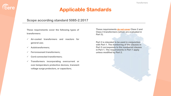#### **Scope according standard 5085-2:2017**

**These requirements cover the following types of transformers:**

- ✓ **Air-cooled transformers and reactors for general use;**
- ✓ **Autotransformers;**

*<u>Cere</u>* 

- ✓ **Ferroresonant transformers;**
- ✓ **Cord-connected transformers;**
- ✓ **Transformers incorporating overcurrent or over-temperature protective devices, transient voltage surge protectors, or capacitors;**

**These requirements do not cover Class 2 and Class 3 transformers (which are evaluated in Part 3).**

**Part 2 is intended to be used in conjunction with Part 1. The numbering of the clauses in Part 2 corresponds to the numbered clauses in Part 1. The requirements in Part 1 apply unless modified by Part 2.**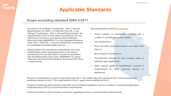#### **Scope according standard 5085-3:2017**

*<u>Cere</u>* 

**As noted in Low Voltage Transformers – Part 1: General Requirements, UL 5085-1, or CSA C22.2 No. 66.1, Low Voltage Transformers – Part 1: General Requirements, the requirements in Part 3 cover Class 2 transformers for use with Class 2 circuits in accordance with the National Electrical Code, ANSI/NFPA 70, or the Canadian Electrical Code, Part I, CSA C22.1. They are intended for connection to essentially sinusoidal supply sources.**

**Advisory Note: For transformers intended for use in the United States, these requirements also cover Class 3 transformers for use with Class 3 circuits in accordance with the National Electrical Code, ANSI/NFPA 70, unless otherwise speci**fi**ed in this standard. See Annex D for Class 3 requirements.**

**The requirements of Part 3 do not cover:**

- ✓ **Power supplies (a transformer provided with a rectifier is considered a power supply);**
- ✓ **Toy transformers;**
- ✓ **Cord and plug connected transformers other than Class 3;**
- ✓ **Direct plug-in Transformers;**
- ✓ **Transformers intended for use in audio, radio, or television type appliances;**
- ✓ **Other special types of transformers covered in requirements for other electrical devices or appliances.**

**This part is intended to be used in conjunction with Part 1. The numbering of the clauses in Part 3 corresponds to the numbered clauses in Part 1. The requirements in Part 1 apply unless modified by Part 3.**

**A Class 2 transformer that includes a separate current-limiting impedance such as a resistor or a positive temperature coefficient device (PTC) is covered by these requirements.**

**A Class 2 transformer that includes a resonance regulating circuit is covered by these requirements.**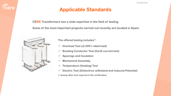

**CERE Transformers has a wide expertise in the field of testing.**

**Some of the most important projects carried out recently are located in Spain.**



**The offered testing includes\*:**

- ✓ **Overload Test (at 200% rated load)**
- ✓ **Bonding Conductor Test (Earth current test)**
- ✓ **Spacings and Insulation**
- ✓ **Mechanical Assembly**
- ✓ **Temperature (Heating) Test**
- ✓ **Electric Test (Dielectrics withstand and Induced Potential)**

**(\* among other test required in the certificates)**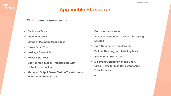## **Applicable Standards**

#### **CERE transformers testing**

✓ **Enclosure Tests**

 $\overline{\overline{\text{}}\text{here}}$ 

- ✓ **Impedance Test**
- ✓ **Lifting or Mounting Means Test**
- ✓ **Strain Relief Test**
- ✓ **Leakage Current Test**
- ✓ **Power Input Test**
- ✓ **Short Circuit Test on Transformers with Output Receptacles**
- ✓ **Maximum Output Power Test on Transformers with Output Receptacles**
- ✓ **Corrosion resistance**
- ✓ **Switches, Protective Devices, and Wiring Devices**
- ✓ **Cord-Connected Transformers**
- ✓ **Pullout, Bending, and Twisting Tests**
- ✓ **Insulating Barriers Test**
- ✓ **Maximum Output Power and Short Circuit Tests for Line Cord-Connected Transformers**
- ✓ **etc**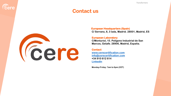#### **Contact us**



**Eere** 

#### **European Headquarters (Spain)**

**C/ Serrano, 8, 3 Izda, Madrid. 28001, Madrid, ES**

#### **European Laboratory**

**C/Monturiol, 15. Polígono Industrial de San Marcos, Getafe. 28906, Madrid, España.**

#### **Contact**

**[www.cerecertification.com](http://www.cerecertification.com/) [info@cerecertification.com](mailto:info@cerecertification.com) +34 910 612 614 [LinkedIn](https://www.linkedin.com/company/cerecertification)**

**Monday-Friday: 7am to 6pm (CET)**